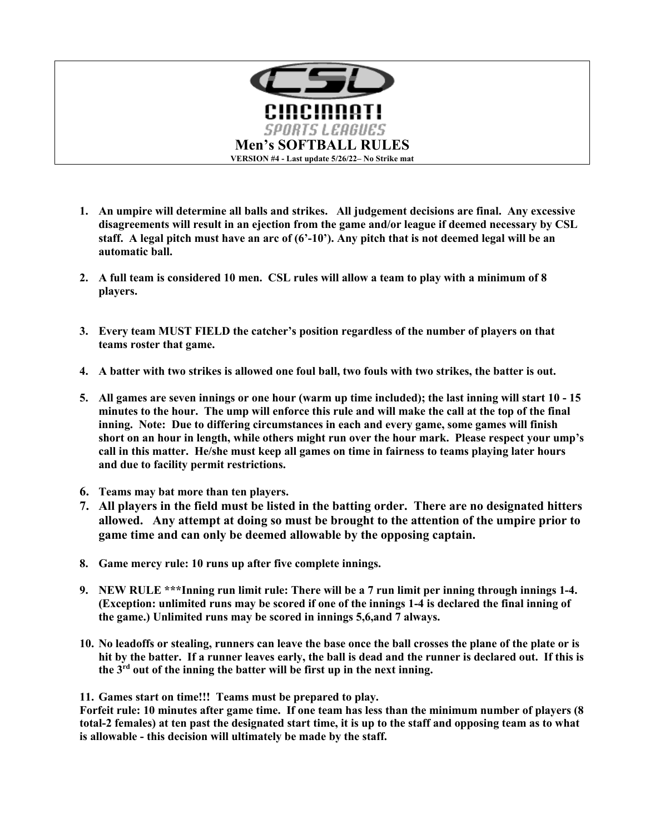

- **1. An umpire will determine all balls and strikes. All judgement decisions are final. Any excessive disagreements will result in an ejection from the game and/or league if deemed necessary by CSL staff. A legal pitch must have an arc of (6'-10'). Any pitch that is not deemed legal will be an automatic ball.**
- **2. A full team is considered 10 men. CSL rules will allow a team to play with a minimum of 8 players.**
- **3. Every team MUST FIELD the catcher's position regardless of the number of players on that teams roster that game.**
- **4. A batter with two strikes is allowed one foul ball, two fouls with two strikes, the batter is out.**
- **5. All games are seven innings or one hour (warm up time included); the last inning will start 10 - 15 minutes to the hour. The ump will enforce this rule and will make the call at the top of the final inning. Note: Due to differing circumstances in each and every game, some games will finish short on an hour in length, while others might run over the hour mark. Please respect your ump's call in this matter. He/she must keep all games on time in fairness to teams playing later hours and due to facility permit restrictions.**
- **6. Teams may bat more than ten players.**
- **7. All players in the field must be listed in the batting order. There are no designated hitters allowed. Any attempt at doing so must be brought to the attention of the umpire prior to game time and can only be deemed allowable by the opposing captain.**
- **8. Game mercy rule: 10 runs up after five complete innings.**
- **9. NEW RULE \*\*\*Inning run limit rule: There will be a 7 run limit per inning through innings 1-4. (Exception: unlimited runs may be scored if one of the innings 1-4 is declared the final inning of the game.) Unlimited runs may be scored in innings 5,6,and 7 always.**
- **10. No leadoffs or stealing, runners can leave the base once the ball crosses the plane of the plate or is hit by the batter. If a runner leaves early, the ball is dead and the runner is declared out. If this is the 3rd out of the inning the batter will be first up in the next inning.**

**11. Games start on time!!! Teams must be prepared to play.** 

**Forfeit rule: 10 minutes after game time. If one team has less than the minimum number of players (8 total-2 females) at ten past the designated start time, it is up to the staff and opposing team as to what is allowable - this decision will ultimately be made by the staff.**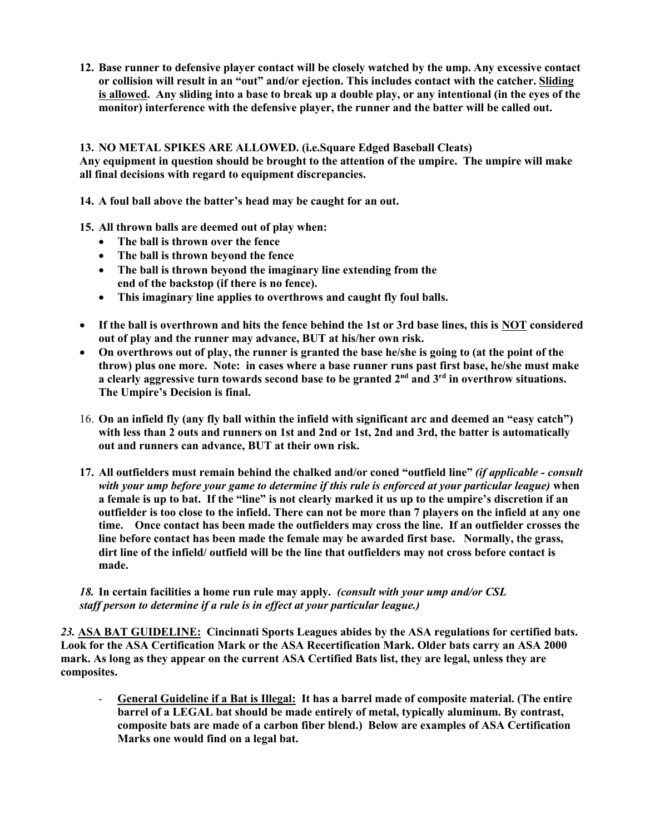**12. Base runner to defensive player contact will be closely watched by the ump. Any excessive contact or collision will result in an "out" and/or ejection. This includes contact with the catcher. Sliding is allowed. Any sliding into a base to break up a double play, or any intentional (in the eyes of the monitor) interference with the defensive player, the runner and the batter will be called out.** 

## **13. NO METAL SPIKES ARE ALLOWED. (i.e.Square Edged Baseball Cleats)**

**Any equipment in question should be brought to the attention of the umpire. The umpire will make all final decisions with regard to equipment discrepancies.** 

**14. A foul ball above the batter's head may be caught for an out.**

**15. All thrown balls are deemed out of play when:**

- **The ball is thrown over the fence**
- **The ball is thrown beyond the fence**
- **The ball is thrown beyond the imaginary line extending from the end of the backstop (if there is no fence).**
- **This imaginary line applies to overthrows and caught fly foul balls.**
- **If the ball is overthrown and hits the fence behind the 1st or 3rd base lines, this is NOT considered out of play and the runner may advance, BUT at his/her own risk.**
- **On overthrows out of play, the runner is granted the base he/she is going to (at the point of the throw) plus one more. Note: in cases where a base runner runs past first base, he/she must make a clearly aggressive turn towards second base to be granted 2nd and 3rd in overthrow situations. The Umpire's Decision is final.**
- 16. **On an infield fly (any fly ball within the infield with significant arc and deemed an "easy catch") with less than 2 outs and runners on 1st and 2nd or 1st, 2nd and 3rd, the batter is automatically out and runners can advance, BUT at their own risk.**
- **17. All outfielders must remain behind the chalked and/or coned "outfield line"** *(if applicable - consult with your ump before your game to determine if this rule is enforced at your particular league)* **when a female is up to bat. If the "line" is not clearly marked it us up to the umpire's discretion if an outfielder is too close to the infield. There can not be more than 7 players on the infield at any one time. Once contact has been made the outfielders may cross the line. If an outfielder crosses the line before contact has been made the female may be awarded first base. Normally, the grass, dirt line of the infield/ outfield will be the line that outfielders may not cross before contact is made.**

## *18.* **In certain facilities a home run rule may apply.** *(consult with your ump and/or CSL staff person to determine if a rule is in effect at your particular league.)*

*23.* **ASA BAT GUIDELINE: Cincinnati Sports Leagues abides by the ASA regulations for certified bats. Look for the ASA Certification Mark or the ASA Recertification Mark. Older bats carry an ASA 2000 mark. As long as they appear on the current ASA Certified Bats list, they are legal, unless they are composites.** 

*-* **General Guideline if a Bat is Illegal: It has a barrel made of composite material. (The entire barrel of a LEGAL bat should be made entirely of metal, typically aluminum. By contrast, composite bats are made of a carbon fiber blend.) Below are examples of ASA Certification Marks one would find on a legal bat.**